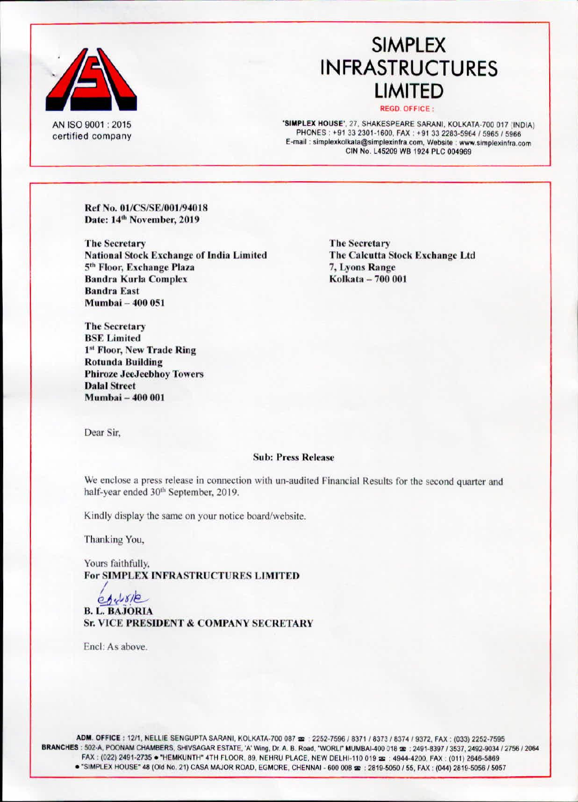

AN ISO 9001: 2015 certified company

# **SIMPLEX INFRASTRUCTURES LIMITED**

#### **REGD. OFFICE:**

'SIMPLEX HOUSE', 27, SHAKESPEARE SARANI, KOLKATA-700 017 (INDIA) PHONES: +91 33 2301-1600, FAX: +91 33 2283-5964 / 5965 / 5966 E-mail: simplexkolkata@simplexinfra.com, Website: www.simplexinfra.com CIN No. L45209 WB 1924 PLC 004969

Ref No. 01/CS/SE/001/94018 Date: 14th November, 2019

**The Secretary National Stock Exchange of India Limited** 5th Floor, Exchange Plaza **Bandra Kurla Complex Bandra East** Mumbai - 400 051

**The Secretary BSE** Limited 1st Floor, New Trade Ring **Rotunda Building Phiroze JeeJeebhoy Towers Dalal Street** Mumbai - 400 001

**The Secretary** The Calcutta Stock Exchange Ltd 7. Lyons Range Kolkata - 700 001

Dear Sir.

#### **Sub: Press Release**

We enclose a press release in connection with un-audited Financial Results for the second quarter and half-year ended 30<sup>th</sup> September, 2019.

Kindly display the same on your notice board/website.

Thanking You,

Yours faithfully, For SIMPLEX INFRASTRUCTURES LIMITED

 $66.518$ **B. L. BAJORIA Sr. VICE PRESIDENT & COMPANY SECRETARY** 

Encl: As above.

ADM. OFFICE: 12/1, NELLIE SENGUPTA SARANI, KOLKATA-700 087 = : 2252-7596 / 8371 / 8373 / 8374 / 9372, FAX: (033) 2252-7595 BRANCHES: 502-A, POONAM CHAMBERS, SHIVSAGAR ESTATE, 'A' Wing, Dr. A. B. Road, "WORLI" MUMBAI-400 018 =: 2491-8397 / 3537, 2492-9034 / 2756 / 2064 FAX: (022) 2491-2735 . "HEMKUNTH" 4TH FLOOR, 89, NEHRU PLACE, NEW DELHI-110 019 : 4944-4200, FAX: (011) 2646-5869 . "SIMPLEX HOUSE" 48 (Old No. 21) CASA MAJOR ROAD, EGMORE, CHENNAI - 600 008 x : 2819-5050 / 55, FAX : (044) 2819-5056 / 5057